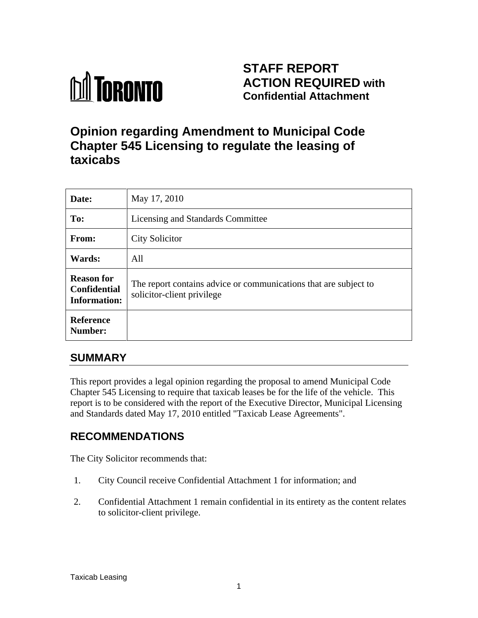

## **STAFF REPORT ACTION REQUIRED with Confidential Attachment**

# **Opinion regarding Amendment to Municipal Code Chapter 545 Licensing to regulate the leasing of taxicabs**

| Date:                                                           | May 17, 2010                                                                                   |
|-----------------------------------------------------------------|------------------------------------------------------------------------------------------------|
| To:                                                             | Licensing and Standards Committee                                                              |
| From:                                                           | <b>City Solicitor</b>                                                                          |
| <b>Wards:</b>                                                   | All                                                                                            |
| <b>Reason for</b><br><b>Confidential</b><br><b>Information:</b> | The report contains advice or communications that are subject to<br>solicitor-client privilege |
| Reference<br>Number:                                            |                                                                                                |

### **SUMMARY**

This report provides a legal opinion regarding the proposal to amend Municipal Code Chapter 545 Licensing to require that taxicab leases be for the life of the vehicle. This report is to be considered with the report of the Executive Director, Municipal Licensing and Standards dated May 17, 2010 entitled "Taxicab Lease Agreements".

### **RECOMMENDATIONS**

The City Solicitor recommends that:

- 1. City Council receive Confidential Attachment 1 for information; and
- 2. Confidential Attachment 1 remain confidential in its entirety as the content relates to solicitor-client privilege.